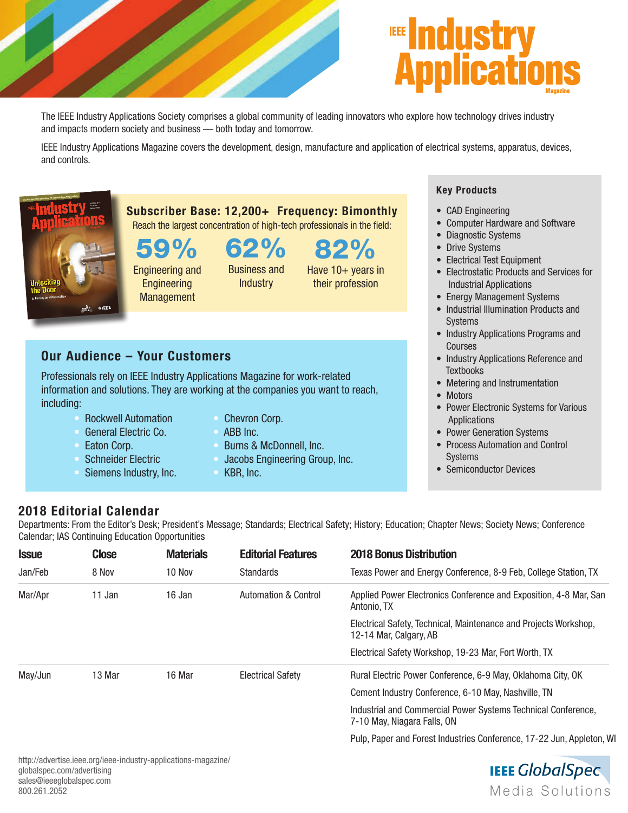



The IEEE Industry Applications Society comprises a global community of leading innovators who explore how technology drives industry and impacts modern society and business — both today and tomorrow.

IEEE Industry Applications Magazine covers the development, design, manufacture and application of electrical systems, apparatus, devices, and controls.



59%

Engineering and **Engineering** Management

62% Business and **Industry** 

Subscriber Base: 12,200+ Frequency: Bimonthly Reach the largest concentration of high-tech professionals in the field:

> 82% Have 10+ years in their profession

## Our Audience – Your Customers

Professionals rely on IEEE Industry Applications Magazine for work-related information and solutions. They are working at the companies you want to reach, including:

- Rockwell Automation
- General Electric Co.
- Eaton Corp.
- Schneider Electric
- Siemens Industry, Inc.
- Chevron Corp.
- ABB Inc.
- Burns & McDonnell, Inc.
- Jacobs Engineering Group, Inc.
- KBR, Inc.

## Key Products

- CAD Engineering
- Computer Hardware and Software
- Diagnostic Systems
- Drive Systems
- Electrical Test Equipment
- Electrostatic Products and Services for Industrial Applications
- Energy Management Systems
- Industrial Illumination Products and Systems
- Industry Applications Programs and Courses
- Industry Applications Reference and **Textbooks**
- Metering and Instrumentation
- Motors
- Power Electronic Systems for Various Applications
- Power Generation Systems
- Process Automation and Control Systems
- Semiconductor Devices

## 2018 Editorial Calendar

Departments: From the Editor's Desk; President's Message; Standards; Electrical Safety; History; Education; Chapter News; Society News; Conference Calendar; IAS Continuing Education Opportunities

| <b>Issue</b> | <b>Close</b> | <b>Materials</b> | <b>Editorial Features</b> | <b>2018 Bonus Distribution</b>                                                               |
|--------------|--------------|------------------|---------------------------|----------------------------------------------------------------------------------------------|
| Jan/Feb      | 8 Nov        | 10 Nov           | Standards                 | Texas Power and Energy Conference, 8-9 Feb, College Station, TX                              |
| Mar/Apr      | 11 Jan       | 16 Jan           | Automation & Control      | Applied Power Electronics Conference and Exposition, 4-8 Mar, San<br>Antonio, TX             |
|              |              |                  |                           | Electrical Safety, Technical, Maintenance and Projects Workshop,<br>12-14 Mar, Calgary, AB   |
|              |              |                  |                           | Electrical Safety Workshop, 19-23 Mar, Fort Worth, TX                                        |
| May/Jun      | 13 Mar       | 16 Mar           | <b>Electrical Safety</b>  | Rural Electric Power Conference, 6-9 May, Oklahoma City, OK                                  |
|              |              |                  |                           | Cement Industry Conference, 6-10 May, Nashville, TN                                          |
|              |              |                  |                           | Industrial and Commercial Power Systems Technical Conference,<br>7-10 May, Niagara Falls, ON |
|              |              |                  |                           | Pulp, Paper and Forest Industries Conference, 17-22 Jun, Appleton, WI                        |

http://advertise.ieee.org/ieee-industry-applications-magazine/ globalspec.com/advertising sales@ieeeglobalspec.com 800.261.2052

## **IEEE GlobalSpec** Media Solutions